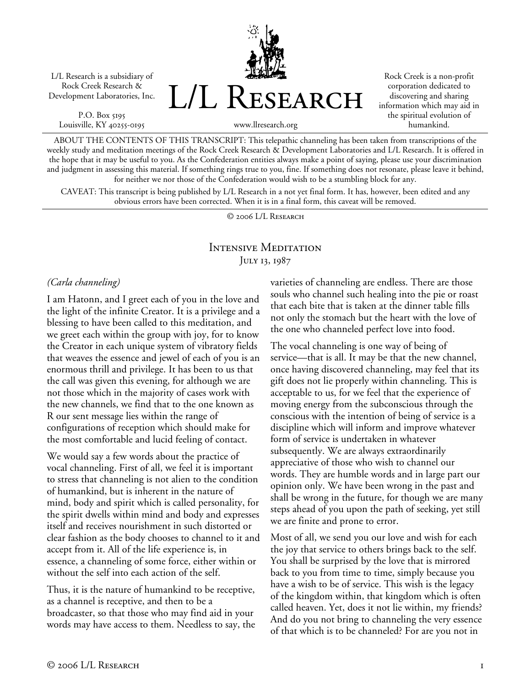L/L Research is a subsidiary of Rock Creek Research & Development Laboratories, Inc.

P.O. Box 5195 Louisville, KY 40255-0195 L/L Research

Rock Creek is a non-profit corporation dedicated to discovering and sharing information which may aid in the spiritual evolution of humankind.

www.llresearch.org

ABOUT THE CONTENTS OF THIS TRANSCRIPT: This telepathic channeling has been taken from transcriptions of the weekly study and meditation meetings of the Rock Creek Research & Development Laboratories and L/L Research. It is offered in the hope that it may be useful to you. As the Confederation entities always make a point of saying, please use your discrimination and judgment in assessing this material. If something rings true to you, fine. If something does not resonate, please leave it behind, for neither we nor those of the Confederation would wish to be a stumbling block for any.

CAVEAT: This transcript is being published by L/L Research in a not yet final form. It has, however, been edited and any obvious errors have been corrected. When it is in a final form, this caveat will be removed.

© 2006 L/L Research

## Intensive Meditation JULY 13, 1987

#### *(Carla channeling)*

I am Hatonn, and I greet each of you in the love and the light of the infinite Creator. It is a privilege and a blessing to have been called to this meditation, and we greet each within the group with joy, for to know the Creator in each unique system of vibratory fields that weaves the essence and jewel of each of you is an enormous thrill and privilege. It has been to us that the call was given this evening, for although we are not those which in the majority of cases work with the new channels, we find that to the one known as R our sent message lies within the range of configurations of reception which should make for the most comfortable and lucid feeling of contact.

We would say a few words about the practice of vocal channeling. First of all, we feel it is important to stress that channeling is not alien to the condition of humankind, but is inherent in the nature of mind, body and spirit which is called personality, for the spirit dwells within mind and body and expresses itself and receives nourishment in such distorted or clear fashion as the body chooses to channel to it and accept from it. All of the life experience is, in essence, a channeling of some force, either within or without the self into each action of the self.

Thus, it is the nature of humankind to be receptive, as a channel is receptive, and then to be a broadcaster, so that those who may find aid in your words may have access to them. Needless to say, the varieties of channeling are endless. There are those souls who channel such healing into the pie or roast that each bite that is taken at the dinner table fills not only the stomach but the heart with the love of the one who channeled perfect love into food.

The vocal channeling is one way of being of service—that is all. It may be that the new channel, once having discovered channeling, may feel that its gift does not lie properly within channeling. This is acceptable to us, for we feel that the experience of moving energy from the subconscious through the conscious with the intention of being of service is a discipline which will inform and improve whatever form of service is undertaken in whatever subsequently. We are always extraordinarily appreciative of those who wish to channel our words. They are humble words and in large part our opinion only. We have been wrong in the past and shall be wrong in the future, for though we are many steps ahead of you upon the path of seeking, yet still we are finite and prone to error.

Most of all, we send you our love and wish for each the joy that service to others brings back to the self. You shall be surprised by the love that is mirrored back to you from time to time, simply because you have a wish to be of service. This wish is the legacy of the kingdom within, that kingdom which is often called heaven. Yet, does it not lie within, my friends? And do you not bring to channeling the very essence of that which is to be channeled? For are you not in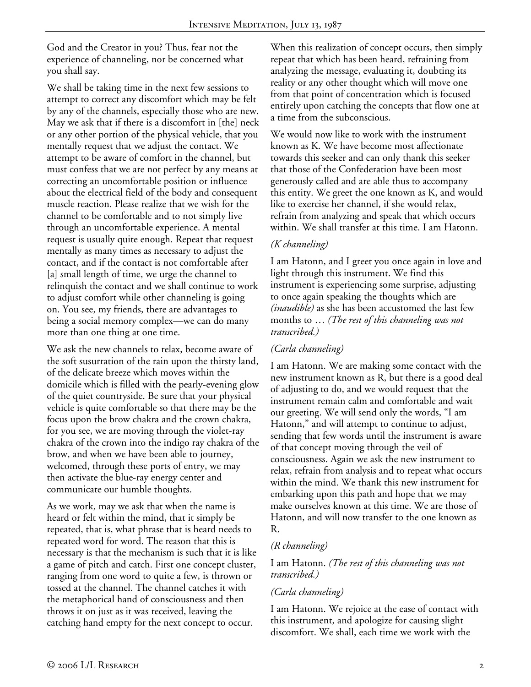God and the Creator in you? Thus, fear not the experience of channeling, nor be concerned what you shall say.

We shall be taking time in the next few sessions to attempt to correct any discomfort which may be felt by any of the channels, especially those who are new. May we ask that if there is a discomfort in [the] neck or any other portion of the physical vehicle, that you mentally request that we adjust the contact. We attempt to be aware of comfort in the channel, but must confess that we are not perfect by any means at correcting an uncomfortable position or influence about the electrical field of the body and consequent muscle reaction. Please realize that we wish for the channel to be comfortable and to not simply live through an uncomfortable experience. A mental request is usually quite enough. Repeat that request mentally as many times as necessary to adjust the contact, and if the contact is not comfortable after [a] small length of time, we urge the channel to relinquish the contact and we shall continue to work to adjust comfort while other channeling is going on. You see, my friends, there are advantages to being a social memory complex—we can do many more than one thing at one time.

We ask the new channels to relax, become aware of the soft susurration of the rain upon the thirsty land, of the delicate breeze which moves within the domicile which is filled with the pearly-evening glow of the quiet countryside. Be sure that your physical vehicle is quite comfortable so that there may be the focus upon the brow chakra and the crown chakra, for you see, we are moving through the violet-ray chakra of the crown into the indigo ray chakra of the brow, and when we have been able to journey, welcomed, through these ports of entry, we may then activate the blue-ray energy center and communicate our humble thoughts.

As we work, may we ask that when the name is heard or felt within the mind, that it simply be repeated, that is, what phrase that is heard needs to repeated word for word. The reason that this is necessary is that the mechanism is such that it is like a game of pitch and catch. First one concept cluster, ranging from one word to quite a few, is thrown or tossed at the channel. The channel catches it with the metaphorical hand of consciousness and then throws it on just as it was received, leaving the catching hand empty for the next concept to occur.

When this realization of concept occurs, then simply repeat that which has been heard, refraining from analyzing the message, evaluating it, doubting its reality or any other thought which will move one from that point of concentration which is focused entirely upon catching the concepts that flow one at a time from the subconscious.

We would now like to work with the instrument known as K. We have become most affectionate towards this seeker and can only thank this seeker that those of the Confederation have been most generously called and are able thus to accompany this entity. We greet the one known as K, and would like to exercise her channel, if she would relax, refrain from analyzing and speak that which occurs within. We shall transfer at this time. I am Hatonn.

## *(K channeling)*

I am Hatonn, and I greet you once again in love and light through this instrument. We find this instrument is experiencing some surprise, adjusting to once again speaking the thoughts which are *(inaudible)* as she has been accustomed the last few months to … *(The rest of this channeling was not transcribed.)*

# *(Carla channeling)*

I am Hatonn. We are making some contact with the new instrument known as R, but there is a good deal of adjusting to do, and we would request that the instrument remain calm and comfortable and wait our greeting. We will send only the words, "I am Hatonn," and will attempt to continue to adjust, sending that few words until the instrument is aware of that concept moving through the veil of consciousness. Again we ask the new instrument to relax, refrain from analysis and to repeat what occurs within the mind. We thank this new instrument for embarking upon this path and hope that we may make ourselves known at this time. We are those of Hatonn, and will now transfer to the one known as R.

#### *(R channeling)*

#### I am Hatonn. *(The rest of this channeling was not transcribed.)*

#### *(Carla channeling)*

I am Hatonn. We rejoice at the ease of contact with this instrument, and apologize for causing slight discomfort. We shall, each time we work with the